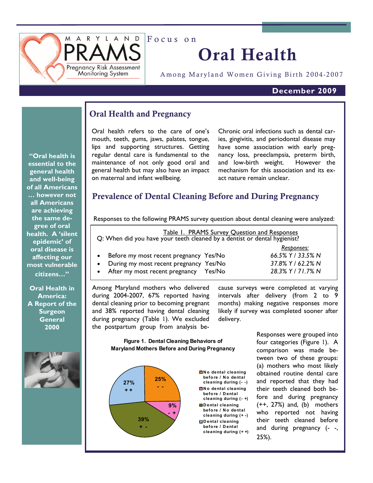

Focus on

## Oral Health

Among Maryland Women Giving Birth 2004-2007

## **December 2009**

## Oral Health and Pregnancy

Oral health refers to the care of one's mouth, teeth, gums, jaws, palates, tongue, lips and supporting structures. Getting regular dental care is fundamental to the maintenance of not only good oral and general health but may also have an impact on maternal and infant wellbeing.

Chronic oral infections such as dental caries, gingivitis, and periodontal disease may have some association with early pregnancy loss, preeclampsia, preterm birth, and low-birth weight. However the mechanism for this association and its exact nature remain unclear.

## Prevalence of Dental Cleaning Before and During Pregnancy

Responses to the following PRAMS survey question about dental cleaning were analyzed:

| Table 1. PRAMS Survey Question and Responses<br>Q: When did you have your teeth cleaned by a dentist or dental hygienist? |                   |
|---------------------------------------------------------------------------------------------------------------------------|-------------------|
|                                                                                                                           | Responses:        |
| Before my most recent pregnancy Yes/No                                                                                    | 66.5% Y / 33.5% N |
| During my most recent pregnancy Yes/No                                                                                    | 37.8% Y / 62.2% N |
| • After my most recent pregnancy Yes/No                                                                                   | 28.3% Y / 71.7% N |

Among Maryland mothers who delivered during 2004-2007, 67% reported having dental cleaning prior to becoming pregnant and 38% reported having dental cleaning during pregnancy (Table 1). We excluded the postpartum group from analysis be-

cause surveys were completed at varying intervals after delivery (from 2 to 9 months) making negative responses more likely if survey was completed sooner after delivery.

**Figure 1. Dental Cleaning Behaviors of Maryland Mothers Before and During Pregnancy** 



**No dental cleaning before / No dental cleaning during (- -) No dental cleaning before / Dental cleaning during (- +) Dental cleaning before / No dental cleaning during (+ -) Dental cleaning before / Dental cleaning during (+ +)**

Responses were grouped into four categories (Figure 1). A comparison was made between two of these groups: (a) mothers who most likely obtained routine dental care and reported that they had their teeth cleaned both before and during pregnancy  $(++, 27%)$  and,  $(b)$  mothers who reported not having their teeth cleaned before and during pregnancy (- -, 25%).

**"Oral health is essential to the general health and well-being of all Americans … however not all Americans are achieving the same degree of oral health. A 'silent epidemic' of oral disease is affecting our most vulnerable citizens…"** 

**Oral Health in America: A Report of the Surgeon General 2000** 

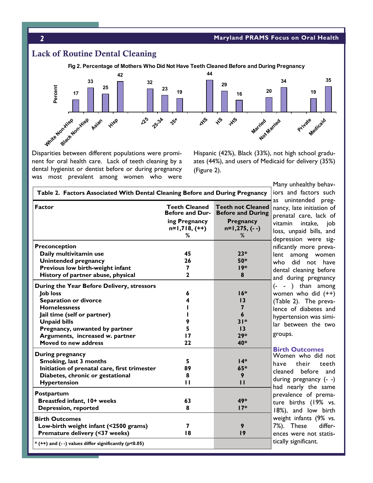

Disparities between different populations were prominent for oral health care. Lack of teeth cleaning by a dental hygienist or dentist before or during pregnancy was most prevalent among women who were Hispanic (42%), Black (33%), not high school graduates (44%), and users of Medicaid for delivery (35%) (Figure 2).

| <b>Factor</b>                                                                                                                                                                                                                                                    | <b>Teeth Cleaned</b><br><b>Before and Dur-</b><br>ing Pregnancy<br>$n=1,718, (++)$ | <b>Teeth not Cleaned</b><br><b>Before and During</b><br>Pregnancy<br>$n=1,275, (--)$ | nancy, I<br>prenata<br>vitamin<br>loss, ur                          |
|------------------------------------------------------------------------------------------------------------------------------------------------------------------------------------------------------------------------------------------------------------------|------------------------------------------------------------------------------------|--------------------------------------------------------------------------------------|---------------------------------------------------------------------|
| Preconception<br>Daily multivitamin use<br><b>Unintended pregnancy</b><br>Previous low birth-weight infant<br>History of partner abuse, physical                                                                                                                 | %<br>45<br>26<br>7<br>$\mathbf{2}$                                                 | %<br>$23*$<br>50*<br>$19*$<br>8                                                      | depress<br>nificantl<br>lent a<br>who c<br>dental (<br>and du       |
| During the Year Before Delivery, stressors<br><b>Job loss</b><br>Separation or divorce<br><b>Homelessness</b><br>Jail time (self or partner)<br><b>Unpaid bills</b><br>Pregnancy, unwanted by partner<br>Arguments, increased w. partner<br>Moved to new address | 6<br>4<br>9<br>5<br>17<br>22                                                       | $16*$<br>13<br>$\overline{7}$<br>$\boldsymbol{6}$<br>$31*$<br>13<br>$29*$<br>40*     | (−<br>women<br>(Table 2<br>lence o<br>hyperte<br>lar bet<br>groups. |
| During pregnancy<br>Smoking, last 3 months<br>Initiation of prenatal care, first trimester<br>Diabetes, chronic or gestational<br><b>Hypertension</b>                                                                                                            | 5<br>89<br>8<br>$\mathbf{H}$                                                       | $14*$<br>65*<br>9<br>П                                                               | <b>Birth C</b><br>Womer<br>have<br>cleaned<br>during<br>had ne      |
| Postpartum<br>Breastfed infant, 10+ weeks<br><b>Depression, reported</b>                                                                                                                                                                                         | 63<br>8                                                                            | 49*<br>$17*$                                                                         | prevaler<br>ture bi<br>$18\%)$ , a                                  |
| <b>Birth Outcomes</b><br>Low-birth weight infant (<2500 grams)<br>Premature delivery (<37 weeks)                                                                                                                                                                 | 7<br>18                                                                            | 9<br> 9                                                                              | weight<br>7%). T<br>ences v<br>tically si                           |

Many unhealthy behavd factors such ntended preglate initiation of l care, lack of intake, job npaid bills, and sion were sigly more prevamong women did not have cleaning before ring pregnancy than among who did  $(++)$ 2). The prevaof diabetes and ension was simiween the two groups.

#### **Dutcomes**

n who did not their teeth before and pregnancy (--) arly the same nce of premairths (19% vs. and low birth infants (9% vs. These differvere not statisignificant.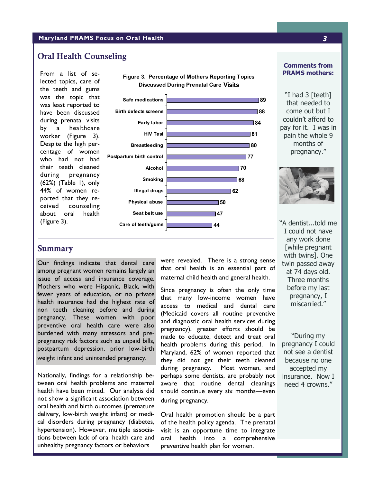#### **Maryland PRAMS Focus on Oral Health** *3*

## Oral Health Counseling

From a list of selected topics, care of the teeth and gums was the topic that was least reported to have been discussed during prenatal visits by a healthcare worker (Figure 3). Despite the high percentage of women who had not had their teeth cleaned during pregnancy (62%) (Table 1), only 44% of women reported that they received counseling about oral health (Figure 3).



**Figure 3. Percentage of Mothers Reporting Topics** 

#### **Comments from PRAMS mothers:**

"I had 3 [teeth] that needed to come out but I couldn't afford to pay for it. I was in pain the whole 9 months of pregnancy."



**Summary** 

Our findings indicate that dental care among pregnant women remains largely an issue of access and insurance coverage. Mothers who were Hispanic, Black, with fewer years of education, or no private health insurance had the highest rate of non teeth cleaning before and during pregnancy. These women with poor preventive oral health care were also burdened with many stressors and prepregnancy risk factors such as unpaid bills, postpartum depression, prior low-birth weight infant and unintended pregnancy.

Nationally, findings for a relationship between oral health problems and maternal health have been mixed. Our analysis did not show a significant association between oral health and birth outcomes (premature delivery, low-birth weight infant) or medical disorders during pregnancy (diabetes, hypertension). However, multiple associations between lack of oral health care and unhealthy pregnancy factors or behaviors

were revealed. There is a strong sense that oral health is an essential part of maternal child health and general health.

Since pregnancy is often the only time that many low-income women have access to medical and dental care (Medicaid covers all routine preventive and diagnostic oral health services during pregnancy), greater efforts should be made to educate, detect and treat oral health problems during this period. In Maryland, 62% of women reported that they did not get their teeth cleaned during pregnancy. Most women, and perhaps some dentists, are probably not aware that routine dental cleanings should continue every six months—even during pregnancy.

Oral health promotion should be a part of the health policy agenda. The prenatal visit is an opportune time to integrate oral health into a comprehensive preventive health plan for women.

"A dentist...told me I could not have any work done [while pregnant with twins]. One twin passed away at 74 days old. Three months before my last pregnancy, I miscarried."

"During my pregnancy I could not see a dentist because no one accepted my insurance. Now I need 4 crowns."